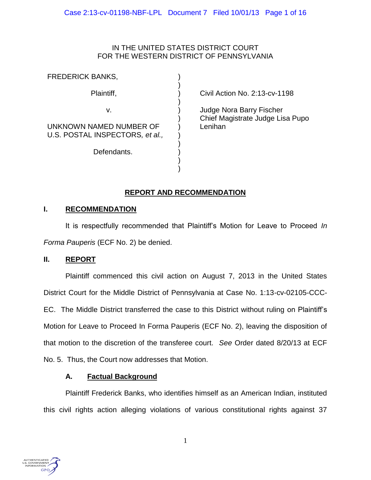## IN THE UNITED STATES DISTRICT COURT FOR THE WESTERN DISTRICT OF PENNSYLVANIA

) ) ) ) ) ) ) ) ) ) ) )

| FREDERICK BANKS,                                           |
|------------------------------------------------------------|
| Plaintiff,                                                 |
| V.                                                         |
| UNKNOWN NAMED NUMBER OF<br>U.S. POSTAL INSPECTORS, et al., |
| Defendants.                                                |
|                                                            |

Civil Action No. 2:13-cv-1198

Judge Nora Barry Fischer Chief Magistrate Judge Lisa Pupo Lenihan

# **REPORT AND RECOMMENDATION**

## **I. RECOMMENDATION**

It is respectfully recommended that Plaintiff's Motion for Leave to Proceed *In Forma Pauperis* (ECF No. 2) be denied.

## **II. REPORT**

Plaintiff commenced this civil action on August 7, 2013 in the United States District Court for the Middle District of Pennsylvania at Case No. 1:13-cv-02105-CCC-EC. The Middle District transferred the case to this District without ruling on Plaintiff's Motion for Leave to Proceed In Forma Pauperis (ECF No. 2), leaving the disposition of that motion to the discretion of the transferee court. *See* Order dated 8/20/13 at ECF No. 5. Thus, the Court now addresses that Motion.

## **A. Factual Background**

Plaintiff Frederick Banks, who identifies himself as an American Indian, instituted this civil rights action alleging violations of various constitutional rights against 37

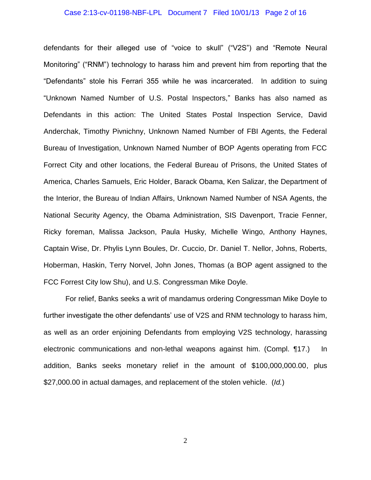#### Case 2:13-cv-01198-NBF-LPL Document 7 Filed 10/01/13 Page 2 of 16

defendants for their alleged use of "voice to skull" ("V2S") and "Remote Neural Monitoring" ("RNM") technology to harass him and prevent him from reporting that the "Defendants" stole his Ferrari 355 while he was incarcerated. In addition to suing "Unknown Named Number of U.S. Postal Inspectors," Banks has also named as Defendants in this action: The United States Postal Inspection Service, David Anderchak, Timothy Pivnichny, Unknown Named Number of FBI Agents, the Federal Bureau of Investigation, Unknown Named Number of BOP Agents operating from FCC Forrect City and other locations, the Federal Bureau of Prisons, the United States of America, Charles Samuels, Eric Holder, Barack Obama, Ken Salizar, the Department of the Interior, the Bureau of Indian Affairs, Unknown Named Number of NSA Agents, the National Security Agency, the Obama Administration, SIS Davenport, Tracie Fenner, Ricky foreman, Malissa Jackson, Paula Husky, Michelle Wingo, Anthony Haynes, Captain Wise, Dr. Phylis Lynn Boules, Dr. Cuccio, Dr. Daniel T. Nellor, Johns, Roberts, Hoberman, Haskin, Terry Norvel, John Jones, Thomas (a BOP agent assigned to the FCC Forrest City low Shu), and U.S. Congressman Mike Doyle.

For relief, Banks seeks a writ of mandamus ordering Congressman Mike Doyle to further investigate the other defendants' use of V2S and RNM technology to harass him, as well as an order enjoining Defendants from employing V2S technology, harassing electronic communications and non-lethal weapons against him. (Compl. ¶17.) In addition, Banks seeks monetary relief in the amount of \$100,000,000.00, plus \$27,000.00 in actual damages, and replacement of the stolen vehicle. (*Id.*)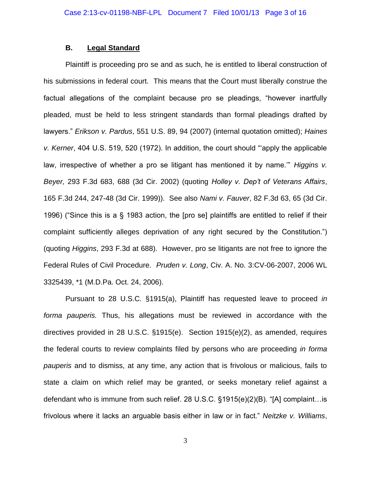## **B. Legal Standard**

Plaintiff is proceeding pro se and as such, he is entitled to liberal construction of his submissions in federal court. This means that the Court must liberally construe the factual allegations of the complaint because pro se pleadings, "however inartfully pleaded, must be held to less stringent standards than formal pleadings drafted by lawyers." *Erikson v. Pardus*, 551 U.S. 89, 94 (2007) (internal quotation omitted); *Haines v. Kerner*, 404 U.S. 519, 520 (1972). In addition, the court should "'apply the applicable law, irrespective of whether a pro se litigant has mentioned it by name.'" *Higgins v. Beyer,* 293 F.3d 683, 688 (3d Cir. 2002) (quoting *Holley v. Dep't of Veterans Affairs*, 165 F.3d 244, 247-48 (3d Cir. 1999)). See also *Nami v. Fauver*, 82 F.3d 63, 65 (3d Cir. 1996) ("Since this is a § 1983 action, the [pro se] plaintiffs are entitled to relief if their complaint sufficiently alleges deprivation of any right secured by the Constitution.") (quoting *Higgins*, 293 F.3d at 688). However, pro se litigants are not free to ignore the Federal Rules of Civil Procedure. *Pruden v. Long*, Civ. A. No. 3:CV-06-2007, 2006 WL 3325439, \*1 (M.D.Pa. Oct. 24, 2006).

Pursuant to 28 U.S.C. §1915(a), Plaintiff has requested leave to proceed *in forma pauperis.* Thus, his allegations must be reviewed in accordance with the directives provided in 28 U.S.C. §1915(e). Section 1915(e)(2), as amended, requires the federal courts to review complaints filed by persons who are proceeding *in forma pauperis* and to dismiss, at any time, any action that is frivolous or malicious, fails to state a claim on which relief may be granted, or seeks monetary relief against a defendant who is immune from such relief. 28 U.S.C. §1915(e)(2)(B). "[A] complaint…is frivolous where it lacks an arguable basis either in law or in fact." *Neitzke v. Williams*,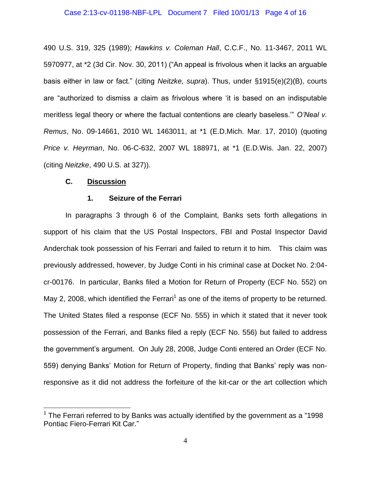490 U.S. 319, 325 (1989); *Hawkins v. Coleman Hall*, C.C.F., No. 11-3467, 2011 WL 5970977, at \*2 (3d Cir. Nov. 30, 2011) ("An appeal is frivolous when it lacks an arguable basis either in law or fact." (citing *Neitzke, supra*). Thus, under §1915(e)(2)(B), courts are "authorized to dismiss a claim as frivolous where 'it is based on an indisputable meritless legal theory or where the factual contentions are clearly baseless.'" *O'Neal v. Remus*, No. 09-14661, 2010 WL 1463011, at \*1 (E.D.Mich. Mar. 17, 2010) (quoting *Price v. Heyrman*, No. 06-C-632, 2007 WL 188971, at \*1 (E.D.Wis. Jan. 22, 2007) (citing *Neitzke*, 490 U.S. at 327)).

## **C. Discussion**

 $\overline{a}$ 

## **1. Seizure of the Ferrari**

In paragraphs 3 through 6 of the Complaint, Banks sets forth allegations in support of his claim that the US Postal Inspectors, FBI and Postal Inspector David Anderchak took possession of his Ferrari and failed to return it to him. This claim was previously addressed, however, by Judge Conti in his criminal case at Docket No. 2:04 cr-00176. In particular, Banks filed a Motion for Return of Property (ECF No. 552) on May 2, 2008, which identified the Ferrari<sup>1</sup> as one of the items of property to be returned. The United States filed a response (ECF No. 555) in which it stated that it never took possession of the Ferrari, and Banks filed a reply (ECF No. 556) but failed to address the government's argument. On July 28, 2008, Judge Conti entered an Order (ECF No. 559) denying Banks' Motion for Return of Property, finding that Banks' reply was nonresponsive as it did not address the forfeiture of the kit-car or the art collection which

 $1$  The Ferrari referred to by Banks was actually identified by the government as a "1998 Pontiac Fiero-Ferrari Kit Car."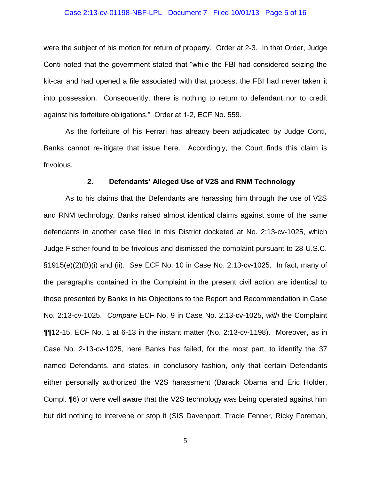#### Case 2:13-cv-01198-NBF-LPL Document 7 Filed 10/01/13 Page 5 of 16

were the subject of his motion for return of property. Order at 2-3. In that Order, Judge Conti noted that the government stated that "while the FBI had considered seizing the kit-car and had opened a file associated with that process, the FBI had never taken it into possession. Consequently, there is nothing to return to defendant nor to credit against his forfeiture obligations." Order at 1-2, ECF No. 559.

As the forfeiture of his Ferrari has already been adjudicated by Judge Conti, Banks cannot re-litigate that issue here. Accordingly, the Court finds this claim is frivolous.

#### **2. Defendants' Alleged Use of V2S and RNM Technology**

As to his claims that the Defendants are harassing him through the use of V2S and RNM technology, Banks raised almost identical claims against some of the same defendants in another case filed in this District docketed at No. 2:13-cv-1025, which Judge Fischer found to be frivolous and dismissed the complaint pursuant to 28 U.S.C. §1915(e)(2)(B)(i) and (ii). *See* ECF No. 10 in Case No. 2:13-cv-1025. In fact, many of the paragraphs contained in the Complaint in the present civil action are identical to those presented by Banks in his Objections to the Report and Recommendation in Case No. 2:13-cv-1025. *Compare* ECF No. 9 in Case No. 2:13-cv-1025, *with* the Complaint ¶¶12-15, ECF No. 1 at 6-13 in the instant matter (No. 2:13-cv-1198). Moreover, as in Case No. 2-13-cv-1025, here Banks has failed, for the most part, to identify the 37 named Defendants, and states, in conclusory fashion, only that certain Defendants either personally authorized the V2S harassment (Barack Obama and Eric Holder, Compl. ¶6) or were well aware that the V2S technology was being operated against him but did nothing to intervene or stop it (SIS Davenport, Tracie Fenner, Ricky Foreman,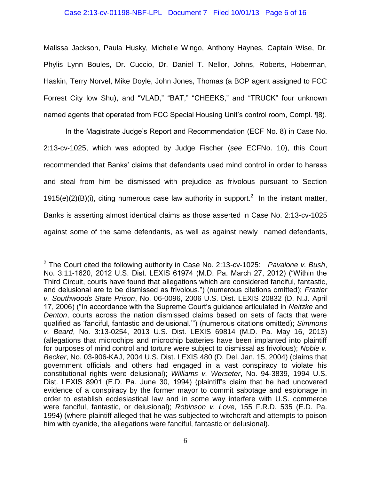#### Case 2:13-cv-01198-NBF-LPL Document 7 Filed 10/01/13 Page 6 of 16

Malissa Jackson, Paula Husky, Michelle Wingo, Anthony Haynes, Captain Wise, Dr. Phylis Lynn Boules, Dr. Cuccio, Dr. Daniel T. Nellor, Johns, Roberts, Hoberman, Haskin, Terry Norvel, Mike Doyle, John Jones, Thomas (a BOP agent assigned to FCC Forrest City low Shu), and "VLAD," "BAT," "CHEEKS," and "TRUCK" four unknown named agents that operated from FCC Special Housing Unit's control room, Compl. ¶8).

In the Magistrate Judge's Report and Recommendation (ECF No. 8) in Case No. 2:13-cv-1025, which was adopted by Judge Fischer (*see* ECFNo. 10), this Court recommended that Banks' claims that defendants used mind control in order to harass and steal from him be dismissed with prejudice as frivolous pursuant to Section 1915(e)(2)(B)(i), citing numerous case law authority in support.<sup>2</sup> In the instant matter, Banks is asserting almost identical claims as those asserted in Case No. 2:13-cv-1025 against some of the same defendants, as well as against newly named defendants,

<sup>2</sup> The Court cited the following authority in Case No. 2:13-cv-1025: *Pavalone v. Bush*, No. 3:11-1620, 2012 U.S. Dist. LEXIS 61974 (M.D. Pa. March 27, 2012) ("Within the Third Circuit, courts have found that allegations which are considered fanciful, fantastic, and delusional are to be dismissed as frivolous.") (numerous citations omitted); *Frazier v. Southwoods State Prison*, No. 06-0096, 2006 U.S. Dist. LEXIS 20832 (D. N.J. April 17, 2006) ("In accordance with the Supreme Court's guidance articulated in *Neitzke* and *Denton*, courts across the nation dismissed claims based on sets of facts that were qualified as 'fanciful, fantastic and delusional.'") (numerous citations omitted); *Simmons v. Beard*, No. 3:13-0254, 2013 U.S. Dist. LEXIS 69814 (M.D. Pa. May 16, 2013) (allegations that microchips and microchip batteries have been implanted into plaintiff for purposes of mind control and torture were subject to dismissal as frivolous); *Noble v. Becker*, No. 03-906-KAJ, 2004 U.S. Dist. LEXIS 480 (D. Del. Jan. 15, 2004) (claims that government officials and others had engaged in a vast conspiracy to violate his constitutional rights were delusional); *Williams v. Werseter*, No. 94-3839, 1994 U.S. Dist. LEXIS 8901 (E.D. Pa. June 30, 1994) (plaintiff's claim that he had uncovered evidence of a conspiracy by the former mayor to commit sabotage and espionage in order to establish ecclesiastical law and in some way interfere with U.S. commerce were fanciful, fantastic, or delusional); *Robinson v. Love*, 155 F.R.D. 535 (E.D. Pa. 1994) (where plaintiff alleged that he was subjected to witchcraft and attempts to poison him with cyanide, the allegations were fanciful, fantastic or delusional).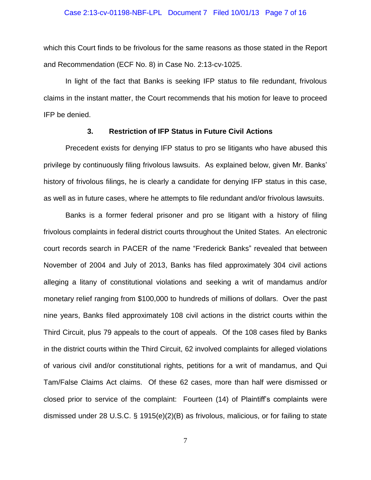#### Case 2:13-cv-01198-NBF-LPL Document 7 Filed 10/01/13 Page 7 of 16

which this Court finds to be frivolous for the same reasons as those stated in the Report and Recommendation (ECF No. 8) in Case No. 2:13-cv-1025.

In light of the fact that Banks is seeking IFP status to file redundant, frivolous claims in the instant matter, the Court recommends that his motion for leave to proceed IFP be denied.

### **3. Restriction of IFP Status in Future Civil Actions**

Precedent exists for denying IFP status to pro se litigants who have abused this privilege by continuously filing frivolous lawsuits. As explained below, given Mr. Banks' history of frivolous filings, he is clearly a candidate for denying IFP status in this case, as well as in future cases, where he attempts to file redundant and/or frivolous lawsuits.

Banks is a former federal prisoner and pro se litigant with a history of filing frivolous complaints in federal district courts throughout the United States. An electronic court records search in PACER of the name "Frederick Banks" revealed that between November of 2004 and July of 2013, Banks has filed approximately 304 civil actions alleging a litany of constitutional violations and seeking a writ of mandamus and/or monetary relief ranging from \$100,000 to hundreds of millions of dollars. Over the past nine years, Banks filed approximately 108 civil actions in the district courts within the Third Circuit, plus 79 appeals to the court of appeals. Of the 108 cases filed by Banks in the district courts within the Third Circuit, 62 involved complaints for alleged violations of various civil and/or constitutional rights, petitions for a writ of mandamus, and Qui Tam/False Claims Act claims. Of these 62 cases, more than half were dismissed or closed prior to service of the complaint: Fourteen (14) of Plaintiff's complaints were dismissed under 28 U.S.C. § 1915(e)(2)(B) as frivolous, malicious, or for failing to state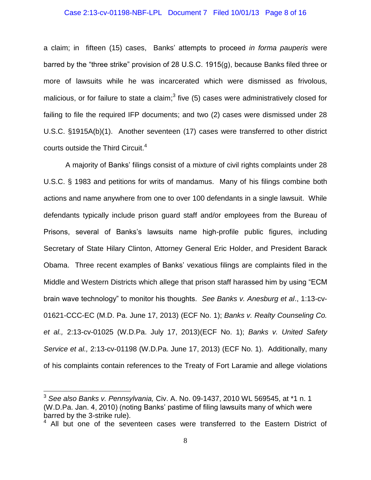#### Case 2:13-cv-01198-NBF-LPL Document 7 Filed 10/01/13 Page 8 of 16

a claim; in fifteen (15) cases, Banks' attempts to proceed *in forma pauperis* were barred by the "three strike" provision of 28 U.S.C. 1915(g), because Banks filed three or more of lawsuits while he was incarcerated which were dismissed as frivolous, malicious, or for failure to state a claim;<sup>3</sup> five (5) cases were administratively closed for failing to file the required IFP documents; and two (2) cases were dismissed under 28 U.S.C. §1915A(b)(1). Another seventeen (17) cases were transferred to other district courts outside the Third Circuit. 4 

A majority of Banks' filings consist of a mixture of civil rights complaints under 28 U.S.C. § 1983 and petitions for writs of mandamus. Many of his filings combine both actions and name anywhere from one to over 100 defendants in a single lawsuit. While defendants typically include prison guard staff and/or employees from the Bureau of Prisons, several of Banks's lawsuits name high-profile public figures, including Secretary of State Hilary Clinton, Attorney General Eric Holder, and President Barack Obama. Three recent examples of Banks' vexatious filings are complaints filed in the Middle and Western Districts which allege that prison staff harassed him by using "ECM brain wave technology" to monitor his thoughts. *See Banks v. Anesburg et al*., 1:13-cv-01621-CCC-EC (M.D. Pa. June 17, 2013) (ECF No. 1); *Banks v. Realty Counseling Co. et al.,* 2:13-cv-01025 (W.D.Pa. July 17, 2013)(ECF No. 1); *Banks v. United Safety Service et al.,* 2:13-cv-01198 (W.D.Pa. June 17, 2013) (ECF No. 1). Additionally, many of his complaints contain references to the Treaty of Fort Laramie and allege violations

<sup>3</sup> *See also Banks v. Pennsylvania,* Civ. A. No. 09-1437, 2010 WL 569545, at \*1 n. 1 (W.D.Pa. Jan. 4, 2010) (noting Banks' pastime of filing lawsuits many of which were barred by the 3-strike rule).

 $4$  All but one of the seventeen cases were transferred to the Eastern District of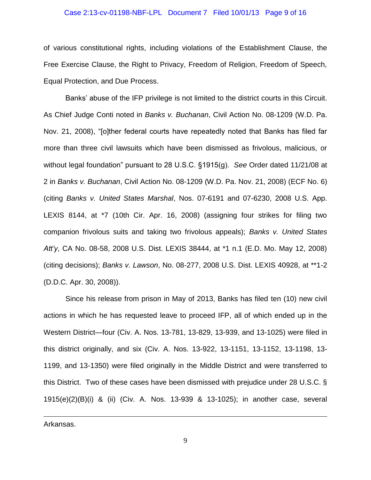#### Case 2:13-cv-01198-NBF-LPL Document 7 Filed 10/01/13 Page 9 of 16

of various constitutional rights, including violations of the Establishment Clause, the Free Exercise Clause, the Right to Privacy, Freedom of Religion, Freedom of Speech, Equal Protection, and Due Process.

Banks' abuse of the IFP privilege is not limited to the district courts in this Circuit. As Chief Judge Conti noted in *Banks v. Buchanan*, Civil Action No. 08-1209 (W.D. Pa. Nov. 21, 2008), "[o]ther federal courts have repeatedly noted that Banks has filed far more than three civil lawsuits which have been dismissed as frivolous, malicious, or without legal foundation" pursuant to 28 U.S.C. §1915(g). *See* Order dated 11/21/08 at 2 in *Banks v. Buchanan*, Civil Action No. 08-1209 (W.D. Pa. Nov. 21, 2008) (ECF No. 6) (citing *Banks v. United States Marshal*, Nos. 07-6191 and 07-6230, 2008 U.S. App. LEXIS 8144, at \*7 (10th Cir. Apr. 16, 2008) (assigning four strikes for filing two companion frivolous suits and taking two frivolous appeals); *Banks v. United States Att'y*, CA No. 08-58, 2008 U.S. Dist. LEXIS 38444, at \*1 n.1 (E.D. Mo. May 12, 2008) (citing decisions); *Banks v. Lawson*, No. 08-277, 2008 U.S. Dist. LEXIS 40928, at \*\*1-2 (D.D.C. Apr. 30, 2008)).

Since his release from prison in May of 2013, Banks has filed ten (10) new civil actions in which he has requested leave to proceed IFP, all of which ended up in the Western District—four (Civ. A. Nos. 13-781, 13-829, 13-939, and 13-1025) were filed in this district originally, and six (Civ. A. Nos. 13-922, 13-1151, 13-1152, 13-1198, 13- 1199, and 13-1350) were filed originally in the Middle District and were transferred to this District. Two of these cases have been dismissed with prejudice under 28 U.S.C. § 1915(e)(2)(B)(i) & (ii) (Civ. A. Nos. 13-939 & 13-1025); in another case, several

Arkansas.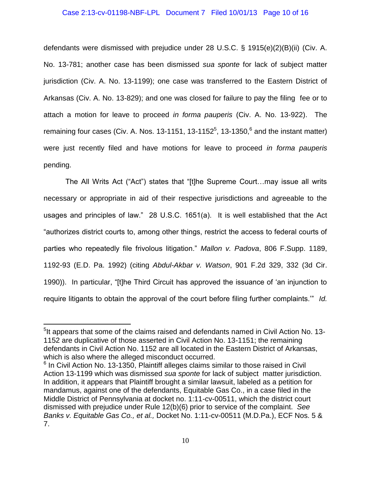### Case 2:13-cv-01198-NBF-LPL Document 7 Filed 10/01/13 Page 10 of 16

defendants were dismissed with prejudice under 28 U.S.C. § 1915(e)(2)(B)(ii) (Civ. A. No. 13-781; another case has been dismissed *sua sponte* for lack of subject matter jurisdiction (Civ. A. No. 13-1199); one case was transferred to the Eastern District of Arkansas (Civ. A. No. 13-829); and one was closed for failure to pay the filing fee or to attach a motion for leave to proceed *in forma pauperis* (Civ. A. No. 13-922). The remaining four cases (Civ. A. Nos. 13-1151, 13-1152 $<sup>5</sup>$ , 13-1350, $<sup>6</sup>$  and the instant matter)</sup></sup> were just recently filed and have motions for leave to proceed *in forma pauperis*  pending.

The All Writs Act ("Act") states that "[t]he Supreme Court…may issue all writs necessary or appropriate in aid of their respective jurisdictions and agreeable to the usages and principles of law." 28 U.S.C. 1651(a). It is well established that the Act "authorizes district courts to, among other things, restrict the access to federal courts of parties who repeatedly file frivolous litigation." *Mallon v. Padova*, 806 F.Supp. 1189, 1192-93 (E.D. Pa. 1992) (citing *Abdul-Akbar v. Watson*, 901 F.2d 329, 332 (3d Cir. 1990)). In particular, "[t]he Third Circuit has approved the issuance of 'an injunction to require litigants to obtain the approval of the court before filing further complaints.'" *Id.*

<sup>&</sup>lt;sup>5</sup>It appears that some of the claims raised and defendants named in Civil Action No. 13-1152 are duplicative of those asserted in Civil Action No. 13-1151; the remaining defendants in Civil Action No. 1152 are all located in the Eastern District of Arkansas, which is also where the alleged misconduct occurred.

 $6$  In Civil Action No. 13-1350, Plaintiff alleges claims similar to those raised in Civil Action 13-1199 which was dismissed *sua sponte* for lack of subject matter jurisdiction. In addition, it appears that Plaintiff brought a similar lawsuit, labeled as a petition for mandamus, against one of the defendants, Equitable Gas Co., in a case filed in the Middle District of Pennsylvania at docket no. 1:11-cv-00511, which the district court dismissed with prejudice under Rule 12(b)(6) prior to service of the complaint. *See Banks v. Equitable Gas Co., et al.,* Docket No. 1:11-cv-00511 (M.D.Pa.), ECF Nos. 5 & 7.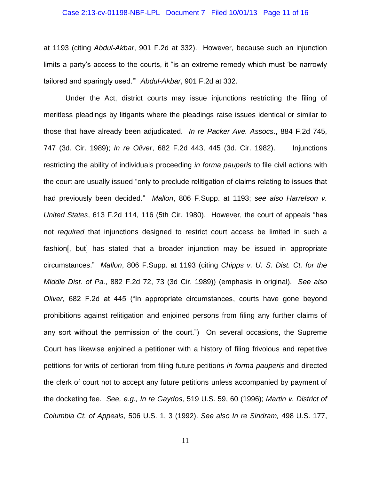#### Case 2:13-cv-01198-NBF-LPL Document 7 Filed 10/01/13 Page 11 of 16

at 1193 (citing *Abdul-Akbar*, 901 F.2d at 332). However, because such an injunction limits a party's access to the courts, it "is an extreme remedy which must 'be narrowly tailored and sparingly used.'" *Abdul-Akbar*, 901 F.2d at 332.

Under the Act, district courts may issue injunctions restricting the filing of meritless pleadings by litigants where the pleadings raise issues identical or similar to those that have already been adjudicated. *In re Packer Ave. Assocs*., 884 F.2d 745, 747 (3d. Cir. 1989); *In re Oliver*, 682 F.2d 443, 445 (3d. Cir. 1982). Injunctions restricting the ability of individuals proceeding *in forma pauperis* to file civil actions with the court are usually issued "only to preclude relitigation of claims relating to issues that had previously been decided." *Mallon*, 806 F.Supp. at 1193; *see also Harrelson v. United States*, 613 F.2d 114, 116 (5th Cir. 1980). However, the court of appeals "has not *required* that injunctions designed to restrict court access be limited in such a fashion[, but] has stated that a broader injunction may be issued in appropriate circumstances." *Mallon*, 806 F.Supp. at 1193 (citing *Chipps v. U. S. Dist. Ct. for the Middle Dist. of Pa.*, 882 F.2d 72, 73 (3d Cir. 1989)) (emphasis in original). *See also Oliver,* 682 F.2d at 445 ("In appropriate circumstances, courts have gone beyond prohibitions against relitigation and enjoined persons from filing any further claims of any sort without the permission of the court.") On several occasions, the Supreme Court has likewise enjoined a petitioner with a history of filing frivolous and repetitive petitions for writs of certiorari from filing future petitions *in forma pauperis* and directed the clerk of court not to accept any future petitions unless accompanied by payment of the docketing fee. *See, e.g., In re Gaydos,* 519 U.S. 59, 60 (1996); *Martin v. District of Columbia Ct. of Appeals,* 506 U.S. 1, 3 (1992). *See also In re Sindram,* 498 U.S. 177,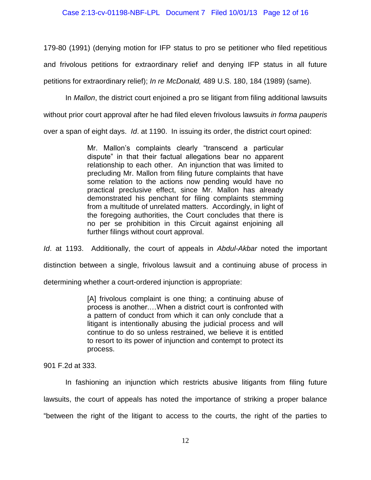### Case 2:13-cv-01198-NBF-LPL Document 7 Filed 10/01/13 Page 12 of 16

179-80 (1991) (denying motion for IFP status to pro se petitioner who filed repetitious and frivolous petitions for extraordinary relief and denying IFP status in all future petitions for extraordinary relief); *In re McDonald,* 489 U.S. 180, 184 (1989) (same).

In *Mallon*, the district court enjoined a pro se litigant from filing additional lawsuits

without prior court approval after he had filed eleven frivolous lawsuits *in forma pauperis*

over a span of eight days. *Id*. at 1190. In issuing its order, the district court opined:

Mr. Mallon's complaints clearly "transcend a particular dispute" in that their factual allegations bear no apparent relationship to each other. An injunction that was limited to precluding Mr. Mallon from filing future complaints that have some relation to the actions now pending would have no practical preclusive effect, since Mr. Mallon has already demonstrated his penchant for filing complaints stemming from a multitude of unrelated matters. Accordingly, in light of the foregoing authorities, the Court concludes that there is no per se prohibition in this Circuit against enjoining all further filings without court approval.

*Id*. at 1193. Additionally, the court of appeals in *Abdul-Akbar* noted the important distinction between a single, frivolous lawsuit and a continuing abuse of process in determining whether a court-ordered injunction is appropriate:

> [A] frivolous complaint is one thing; a continuing abuse of process is another.…When a district court is confronted with a pattern of conduct from which it can only conclude that a litigant is intentionally abusing the judicial process and will continue to do so unless restrained, we believe it is entitled to resort to its power of injunction and contempt to protect its process.

901 F.2d at 333.

In fashioning an injunction which restricts abusive litigants from filing future lawsuits, the court of appeals has noted the importance of striking a proper balance "between the right of the litigant to access to the courts, the right of the parties to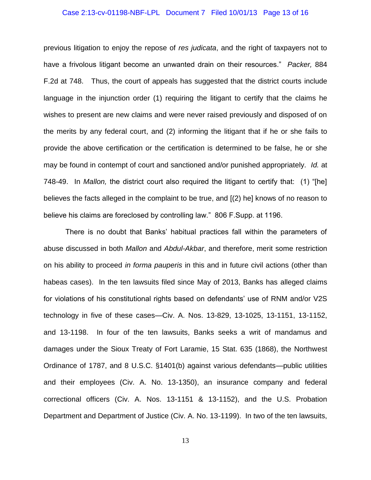#### Case 2:13-cv-01198-NBF-LPL Document 7 Filed 10/01/13 Page 13 of 16

previous litigation to enjoy the repose of *res judicata*, and the right of taxpayers not to have a frivolous litigant become an unwanted drain on their resources." *Packer,* 884 F.2d at 748. Thus, the court of appeals has suggested that the district courts include language in the injunction order (1) requiring the litigant to certify that the claims he wishes to present are new claims and were never raised previously and disposed of on the merits by any federal court, and (2) informing the litigant that if he or she fails to provide the above certification or the certification is determined to be false, he or she may be found in contempt of court and sanctioned and/or punished appropriately. *Id.* at 748-49. In *Mallon,* the district court also required the litigant to certify that: (1) "[he] believes the facts alleged in the complaint to be true, and [(2) he] knows of no reason to believe his claims are foreclosed by controlling law." 806 F.Supp. at 1196.

There is no doubt that Banks' habitual practices fall within the parameters of abuse discussed in both *Mallon* and *Abdul-Akbar*, and therefore, merit some restriction on his ability to proceed *in forma pauperis* in this and in future civil actions (other than habeas cases). In the ten lawsuits filed since May of 2013, Banks has alleged claims for violations of his constitutional rights based on defendants' use of RNM and/or V2S technology in five of these cases—Civ. A. Nos. 13-829, 13-1025, 13-1151, 13-1152, and 13-1198. In four of the ten lawsuits, Banks seeks a writ of mandamus and damages under the Sioux Treaty of Fort Laramie, 15 Stat. 635 (1868), the Northwest Ordinance of 1787, and 8 U.S.C. §1401(b) against various defendants—public utilities and their employees (Civ. A. No. 13-1350), an insurance company and federal correctional officers (Civ. A. Nos. 13-1151 & 13-1152), and the U.S. Probation Department and Department of Justice (Civ. A. No. 13-1199). In two of the ten lawsuits,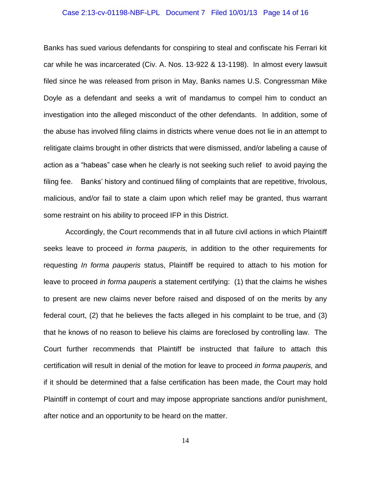#### Case 2:13-cv-01198-NBF-LPL Document 7 Filed 10/01/13 Page 14 of 16

Banks has sued various defendants for conspiring to steal and confiscate his Ferrari kit car while he was incarcerated (Civ. A. Nos. 13-922 & 13-1198). In almost every lawsuit filed since he was released from prison in May, Banks names U.S. Congressman Mike Doyle as a defendant and seeks a writ of mandamus to compel him to conduct an investigation into the alleged misconduct of the other defendants. In addition, some of the abuse has involved filing claims in districts where venue does not lie in an attempt to relitigate claims brought in other districts that were dismissed, and/or labeling a cause of action as a "habeas" case when he clearly is not seeking such relief to avoid paying the filing fee. Banks' history and continued filing of complaints that are repetitive, frivolous, malicious, and/or fail to state a claim upon which relief may be granted, thus warrant some restraint on his ability to proceed IFP in this District.

Accordingly, the Court recommends that in all future civil actions in which Plaintiff seeks leave to proceed *in forma pauperis,* in addition to the other requirements for requesting *In forma pauperis* status, Plaintiff be required to attach to his motion for leave to proceed *in forma pauperis* a statement certifying: (1) that the claims he wishes to present are new claims never before raised and disposed of on the merits by any federal court, (2) that he believes the facts alleged in his complaint to be true, and (3) that he knows of no reason to believe his claims are foreclosed by controlling law. The Court further recommends that Plaintiff be instructed that failure to attach this certification will result in denial of the motion for leave to proceed *in forma pauperis,* and if it should be determined that a false certification has been made, the Court may hold Plaintiff in contempt of court and may impose appropriate sanctions and/or punishment, after notice and an opportunity to be heard on the matter.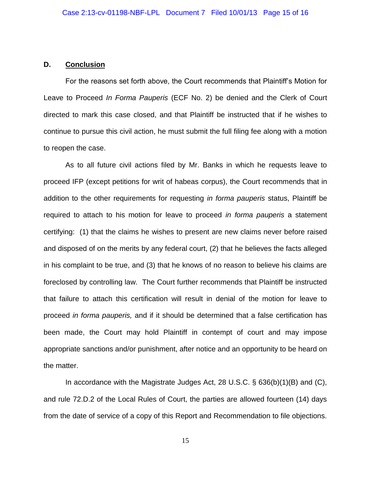## **D. Conclusion**

For the reasons set forth above, the Court recommends that Plaintiff's Motion for Leave to Proceed *In Forma Pauperis* (ECF No. 2) be denied and the Clerk of Court directed to mark this case closed, and that Plaintiff be instructed that if he wishes to continue to pursue this civil action, he must submit the full filing fee along with a motion to reopen the case.

As to all future civil actions filed by Mr. Banks in which he requests leave to proceed IFP (except petitions for writ of habeas corpus), the Court recommends that in addition to the other requirements for requesting *in forma pauperis* status, Plaintiff be required to attach to his motion for leave to proceed *in forma pauperis* a statement certifying: (1) that the claims he wishes to present are new claims never before raised and disposed of on the merits by any federal court, (2) that he believes the facts alleged in his complaint to be true, and (3) that he knows of no reason to believe his claims are foreclosed by controlling law. The Court further recommends that Plaintiff be instructed that failure to attach this certification will result in denial of the motion for leave to proceed *in forma pauperis,* and if it should be determined that a false certification has been made, the Court may hold Plaintiff in contempt of court and may impose appropriate sanctions and/or punishment, after notice and an opportunity to be heard on the matter.

In accordance with the Magistrate Judges Act, 28 U.S.C. § 636(b)(1)(B) and (C), and rule 72.D.2 of the Local Rules of Court, the parties are allowed fourteen (14) days from the date of service of a copy of this Report and Recommendation to file objections.